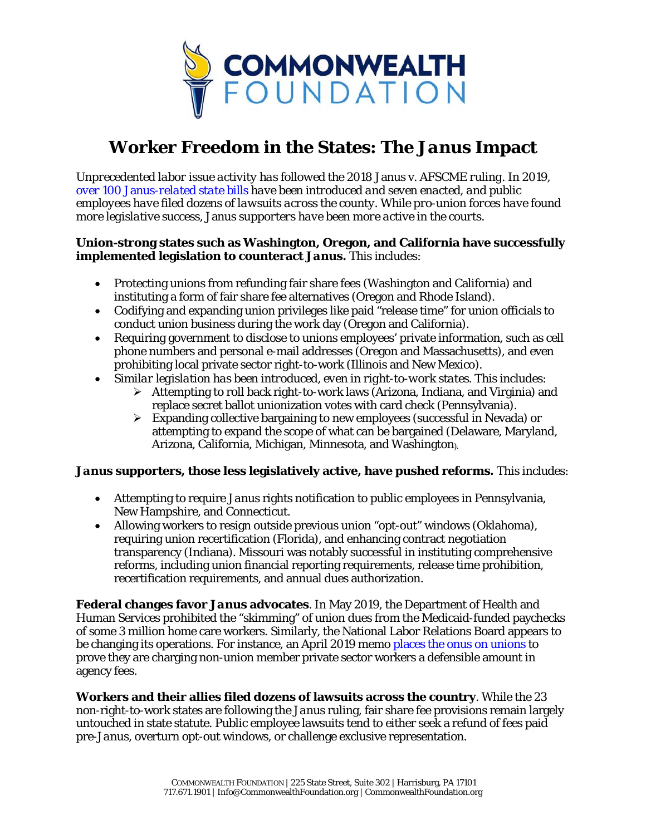

## **Worker Freedom in the States: The** *Janus* **Impact**

*Unprecedented labor issue activity has followed the 2018* Janus v. AFSCME *ruling. In 2019, over 100* Janus*[-related state bills](https://ballotpedia.org/Public-sector_union_policy_in_the_United_States,_2018-present) have been introduced and seven enacted, and public employees have filed dozens of lawsuits across the county. While pro-union forces have found more legislative success,* Janus *supporters have been more active in the courts.*

## **Union-strong states such as Washington, Oregon, and California have successfully implemented legislation to counteract** *Janus.* This includes:

- Protecting unions from refunding fair share fees (Washington and California) and instituting a form of fair share fee alternatives (Oregon and Rhode Island).
- Codifying and expanding union privileges like paid "release time" for union officials to conduct union business during the work day (Oregon and California).
- Requiring government to disclose to unions employees' private information, such as cell phone numbers and personal e-mail addresses (Oregon and Massachusetts), and even prohibiting local private sector right-to-work (Illinois and New Mexico).
- *Similar legislation has been introduced, even in right-to-work states.* This includes:
	- $\triangleright$  Attempting to roll back right-to-work laws (Arizona, Indiana, and Virginia) and replace secret ballot unionization votes with card check (Pennsylvania).
	- $\triangleright$  Expanding collective bargaining to new employees (successful in Nevada) or attempting to expand the scope of what can be bargained (Delaware, Maryland, Arizona, California, Michigan, Minnesota, and Washington).

## *Janus* **supporters, those less legislatively active, have pushed reforms.** This includes:

- Attempting to require *Janus* rights notification to public employees in Pennsylvania, New Hampshire, and Connecticut.
- Allowing workers to resign outside previous union "opt-out" windows (Oklahoma), requiring union recertification (Florida), and enhancing contract negotiation transparency (Indiana). Missouri was notably successful in instituting comprehensive reforms, including union financial reporting requirements, release time prohibition, recertification requirements, and annual dues authorization.

**Federal changes favor** *Janus* **advocates**. In May 2019, the Department of Health and Human Services prohibited the "skimming" of union dues from the Medicaid-funded paychecks of some 3 million home care workers. Similarly, the National Labor Relations Board appears to be changing its operations. For instance, an April 2019 memo places [the onus on unions](https://news.bloomberglaw.com/daily-labor-report/nonmember-challenges-to-union-fees-made-easier-by-top-nlrb-lawyer) to prove they are charging non-union member private sector workers a defensible amount in agency fees.

**Workers and their allies filed dozens of lawsuits across the country**. While the 23 non-right-to-work states are following the *Janus* ruling, fair share fee provisions remain largely untouched in state statute. Public employee lawsuits tend to either seek a refund of fees paid pre-*Janus*, overturn opt-out windows, or challenge exclusive representation.